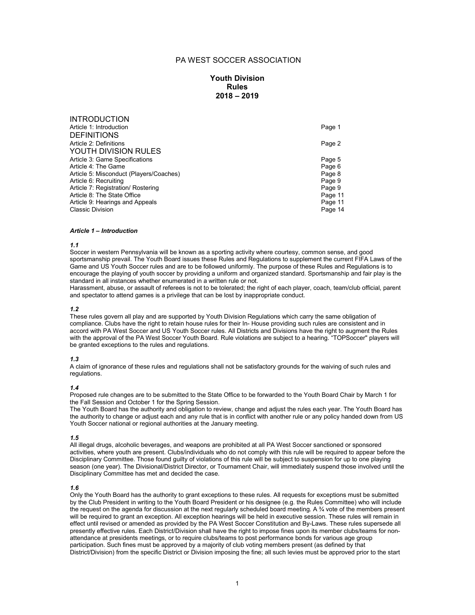# PA WEST SOCCER ASSOCIATION

# **Youth Division Rules 2018 – 2019**

| <b>INTRODUCTION</b>                     |         |
|-----------------------------------------|---------|
| Article 1: Introduction                 | Page 1  |
| <b>DEFINITIONS</b>                      |         |
| Article 2: Definitions                  | Page 2  |
| YOUTH DIVISION RULES                    |         |
| Article 3: Game Specifications          | Page 5  |
| Article 4: The Game                     | Page 6  |
| Article 5: Misconduct (Players/Coaches) | Page 8  |
| Article 6: Recruiting                   | Page 9  |
| Article 7: Registration/ Rostering      | Page 9  |
| Article 8: The State Office             | Page 11 |
| Article 9: Hearings and Appeals         | Page 11 |
| <b>Classic Division</b>                 | Page 14 |
|                                         |         |

## *Article 1 – Introduction*

#### *1.1*

Soccer in western Pennsylvania will be known as a sporting activity where courtesy, common sense, and good sportsmanship prevail. The Youth Board issues these Rules and Regulations to supplement the current FIFA Laws of the Game and US Youth Soccer rules and are to be followed uniformly. The purpose of these Rules and Regulations is to encourage the playing of youth soccer by providing a uniform and organized standard. Sportsmanship and fair play is the standard in all instances whether enumerated in a written rule or not.

Harassment, abuse, or assault of referees is not to be tolerated; the right of each player, coach, team/club official, parent and spectator to attend games is a privilege that can be lost by inappropriate conduct.

#### *1.2*

These rules govern all play and are supported by Youth Division Regulations which carry the same obligation of compliance. Clubs have the right to retain house rules for their In- House providing such rules are consistent and in accord with PA West Soccer and US Youth Soccer rules. All Districts and Divisions have the right to augment the Rules with the approval of the PA West Soccer Youth Board. Rule violations are subject to a hearing. "TOPSoccer" players will be granted exceptions to the rules and regulations.

#### *1.3*

A claim of ignorance of these rules and regulations shall not be satisfactory grounds for the waiving of such rules and regulations.

### *1.4*

Proposed rule changes are to be submitted to the State Office to be forwarded to the Youth Board Chair by March 1 for the Fall Session and October 1 for the Spring Session.

The Youth Board has the authority and obligation to review, change and adjust the rules each year. The Youth Board has the authority to change or adjust each and any rule that is in conflict with another rule or any policy handed down from US Youth Soccer national or regional authorities at the January meeting.

#### *1.5*

All illegal drugs, alcoholic beverages, and weapons are prohibited at all PA West Soccer sanctioned or sponsored activities, where youth are present. Clubs/individuals who do not comply with this rule will be required to appear before the Disciplinary Committee. Those found guilty of violations of this rule will be subject to suspension for up to one playing season (one year). The Divisional/District Director, or Tournament Chair, will immediately suspend those involved until the Disciplinary Committee has met and decided the case.

## *1.6*

Only the Youth Board has the authority to grant exceptions to these rules. All requests for exceptions must be submitted by the Club President in writing to the Youth Board President or his designee (e.g. the Rules Committee) who will include the request on the agenda for discussion at the next regularly scheduled board meeting. A ¾ vote of the members present will be required to grant an exception. All exception hearings will be held in executive session. These rules will remain in effect until revised or amended as provided by the PA West Soccer Constitution and By-Laws. These rules supersede all presently effective rules. Each District/Division shall have the right to impose fines upon its member clubs/teams for nonattendance at presidents meetings, or to require clubs/teams to post performance bonds for various age group participation. Such fines must be approved by a majority of club voting members present (as defined by that District/Division) from the specific District or Division imposing the fine; all such levies must be approved prior to the start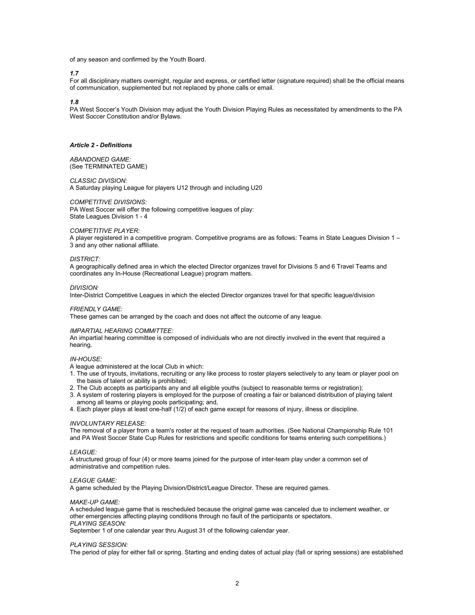of any season and confirmed by the Youth Board.

*1.7*

For all disciplinary matters overnight, regular and express, or certified letter (signature required) shall be the official means of communication, supplemented but not replaced by phone calls or email.

### *1.8*

PA West Soccer's Youth Division may adjust the Youth Division Playing Rules as necessitated by amendments to the PA West Soccer Constitution and/or Bylaws.

## *Article 2 - Definitions*

*ABANDONED GAME:* (See TERMINATED GAME)

#### *CLASSIC DIVISION:*

A Saturday playing League for players U12 through and including U20

#### *COMPETITIVE DIVISIONS:*

PA West Soccer will offer the following competitive leagues of play: State Leagues Division 1 - 4

### *COMPETITIVE PLAYER:*

A player registered in a competitive program. Competitive programs are as follows: Teams in State Leagues Division 1 – 3 and any other national affiliate.

#### *DISTRICT:*

A geographically defined area in which the elected Director organizes travel for Divisions 5 and 6 Travel Teams and coordinates any In-House (Recreational League) program matters.

#### *DIVISION:*

Inter-District Competitive Leagues in which the elected Director organizes travel for that specific league/division

#### *FRIENDLY GAME:*

These games can be arranged by the coach and does not affect the outcome of any league.

#### *IMPARTIAL HEARING COMMITTEE:*

An impartial hearing committee is composed of individuals who are not directly involved in the event that required a hearing.

## *IN-HOUSE:*

A league administered at the local Club in which:

- 1. The use of tryouts, invitations, recruiting or any like process to roster players selectively to any team or player pool on the basis of talent or ability is prohibited;
- 2. The Club accepts as participants any and all eligible youths (subject to reasonable terms or registration);
- 3. A system of rostering players is employed for the purpose of creating a fair or balanced distribution of playing talent among all teams or playing pools participating; and,
- 4. Each player plays at least one-half (1/2) of each game except for reasons of injury, illness or discipline.

### *INVOLUNTARY RELEASE:*

The removal of a player from a team's roster at the request of team authorities. (See National Championship Rule 101 and PA West Soccer State Cup Rules for restrictions and specific conditions for teams entering such competitions.)

#### *LEAGUE:*

A structured group of four (4) or more teams joined for the purpose of inter-team play under a common set of administrative and competition rules.

### *LEAGUE GAME:*

A game scheduled by the Playing Division/District/League Director. These are required games.

### *MAKE-UP GAME:*

A scheduled league game that is rescheduled because the original game was canceled due to inclement weather, or other emergencies affecting playing conditions through no fault of the participants or spectators. *PLAYING SEASON:*

September 1 of one calendar year thru August 31 of the following calendar year.

#### *PLAYING SESSION:*

The period of play for either fall or spring. Starting and ending dates of actual play (fall or spring sessions) are established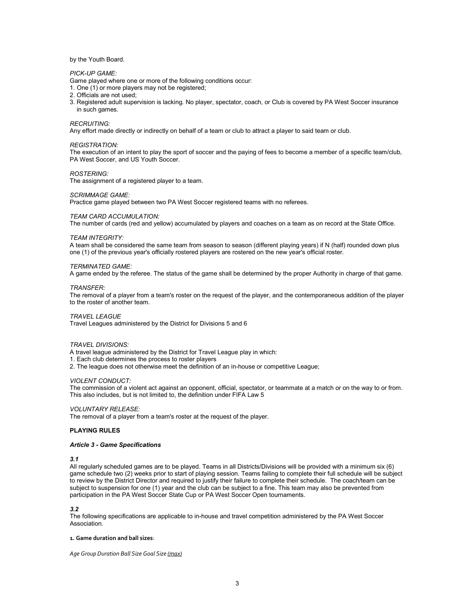### by the Youth Board.

### *PICK-UP GAME:*

Game played where one or more of the following conditions occur:

- 1. One (1) or more players may not be registered;
- 2. Officials are not used;
- 3. Registered adult supervision is lacking. No player, spectator, coach, or Club is covered by PA West Soccer insurance in such games.

### *RECRUITING:*

Any effort made directly or indirectly on behalf of a team or club to attract a player to said team or club.

#### *REGISTRATION:*

The execution of an intent to play the sport of soccer and the paying of fees to become a member of a specific team/club, PA West Soccer, and US Youth Soccer.

### *ROSTERING:*

The assignment of a registered player to a team.

#### *SCRIMMAGE GAME:*

Practice game played between two PA West Soccer registered teams with no referees.

### *TEAM CARD ACCUMULATION:*

The number of cards (red and yellow) accumulated by players and coaches on a team as on record at the State Office.

#### *TEAM INTEGRITY:*

A team shall be considered the same team from season to season (different playing years) if N (half) rounded down plus one (1) of the previous year's officially rostered players are rostered on the new year's official roster.

#### *TERMINATED GAME:*

A game ended by the referee. The status of the game shall be determined by the proper Authority in charge of that game.

#### *TRANSFER:*

The removal of a player from a team's roster on the request of the player, and the contemporaneous addition of the player to the roster of another team.

### *TRAVEL LEAGUE*

Travel Leagues administered by the District for Divisions 5 and 6

#### *TRAVEL DIVISIONS:*

A travel league administered by the District for Travel League play in which:

1. Each club determines the process to roster players

2. The league does not otherwise meet the definition of an in-house or competitive League;

#### *VIOLENT CONDUCT:*

The commission of a violent act against an opponent, official, spectator, or teammate at a match or on the way to or from. This also includes, but is not limited to, the definition under FIFA Law 5

### *VOLUNTARY RELEASE:*

The removal of a player from a team's roster at the request of the player.

### **PLAYING RULES**

#### *Article 3 - Game Specifications*

#### *3.1*

All regularly scheduled games are to be played. Teams in all Districts/Divisions will be provided with a minimum six (6) game schedule two (2) weeks prior to start of playing session. Teams failing to complete their full schedule will be subject to review by the District Director and required to justify their failure to complete their schedule. The coach/team can be subject to suspension for one (1) year and the club can be subject to a fine. This team may also be prevented from participation in the PA West Soccer State Cup or PA West Soccer Open tournaments.

#### *3.2*

The following specifications are applicable to in-house and travel competition administered by the PA West Soccer **Association** 

#### **1. Game duration and ball sizes**:

*Age Group Duration Ball Size Goal Size (max)*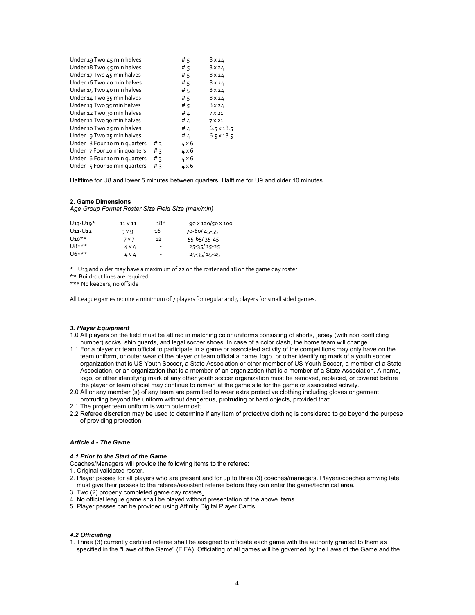| Under 19 Two 45 min halves   |       | # $5$        | 8 x 24            |
|------------------------------|-------|--------------|-------------------|
| Under 18 Two 45 min halves   |       | # $5$        | 8x24              |
| Under 17 Two 45 min halves   |       | # $5$        | 8x24              |
| Under 16 Two 40 min halves   |       | # $5$        | 8 x 24            |
| Under 15 Two 40 min halves   |       | # $5$        | 8x24              |
| Under 14 Two 35 min halves   |       | # $5$        | 8 x 24            |
| Under 13 Two 35 min halves   |       | # $5$        | 8x24              |
| Under 12 Two 30 min halves   |       | # 4          | 7 X 21            |
| Under 11 Two 30 min halves   |       | # 4          | 7 X 21            |
| Under 10 Two 25 min halves   |       | # 4          | $6.5 \times 18.5$ |
| Under 9 Two 25 min halves    |       | # 4          | $6.5 \times 18.5$ |
| Under 8 Four 10 min quarters | # ੨   | $4 \times 6$ |                   |
| Under 7 Four 10 min quarters | # ੨   | $4 \times 6$ |                   |
| Under 6 Four 10 min quarters | # 3   | $4 \times 6$ |                   |
| Under 5 Four 10 min quarters | $#_3$ | $4 \times 6$ |                   |

Halftime for U8 and lower 5 minutes between quarters. Halftime for U9 and older 10 minutes.

## **2. Game Dimensions**

*Age Group Format Roster Size Field Size (max/min)*

| $U_1$ 3- $U_1$ 9*                | 11 V 11 | $18*$                    | 90 x 120/50 x 100 |
|----------------------------------|---------|--------------------------|-------------------|
| U <sub>11</sub> -U <sub>12</sub> | 9 V 9   | 16                       | 70-80/45-55       |
| $U10**$                          | 7 V 7   | 12                       | $55 - 65/35 - 45$ |
| $U8***$                          | 4 V 4   | ٠                        | $25 - 35/15 - 25$ |
| $U6***$                          | 4 V 4   | $\overline{\phantom{a}}$ | $25 - 35/15 - 25$ |

\* U13 and older may have a maximum of 22 on the roster and 18 on the game day roster

\*\* Build-out lines are required

\*\*\* No keepers, no offside

All League games require a minimum of 7 players for regular and 5 players for small sided games.

### *3. Player Equipment*

- 1.0 All players on the field must be attired in matching color uniforms consisting of shorts, jersey (with non conflicting number) socks, shin guards, and legal soccer shoes. In case of a color clash, the home team will change.
- 1.1 For a player or team official to participate in a game or associated activity of the competitions may only have on the team uniform, or outer wear of the player or team official a name, logo, or other identifying mark of a youth soccer organization that is US Youth Soccer, a State Association or other member of US Youth Soccer, a member of a State Association, or an organization that is a member of an organization that is a member of a State Association. A name, logo, or other identifying mark of any other youth soccer organization must be removed, replaced, or covered before the player or team official may continue to remain at the game site for the game or associated activity.
- 2.0 All or any member (s) of any team are permitted to wear extra protective clothing including gloves or garment protruding beyond the uniform without dangerous, protruding or hard objects, provided that:
- 2.1 The proper team uniform is worn outermost;
- 2.2 Referee discretion may be used to determine if any item of protective clothing is considered to go beyond the purpose of providing protection.

#### *Article 4 - The Game*

## *4.1 Prior to the Start of the Game*

Coaches/Managers will provide the following items to the referee:

- 1. Original validated roster.
- 2. Player passes for all players who are present and for up to three (3) coaches/managers. Players/coaches arriving late must give their passes to the referee/assistant referee before they can enter the game/technical area.
- 3. Two (2) properly completed game day rosters.
- 4. No official league game shall be played without presentation of the above items.
- 5. Player passes can be provided using Affinity Digital Player Cards.

#### *4.2 Officiating*

1. Three (3) currently certified referee shall be assigned to officiate each game with the authority granted to them as specified in the "Laws of the Game" (FIFA). Officiating of all games will be governed by the Laws of the Game and the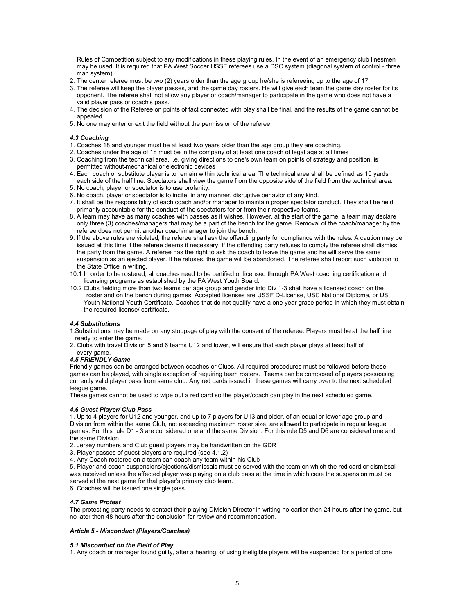Rules of Competition subject to any modifications in these playing rules. In the event of an emergency club linesmen may be used. It is required that PA West Soccer USSF referees use a DSC system (diagonal system of control - three man system).

- 2. The center referee must be two (2) years older than the age group he/she is refereeing up to the age of 17
- 3. The referee will keep the player passes, and the game day rosters. He will give each team the game day roster for its opponent. The referee shall not allow any player or coach/manager to participate in the game who does not have a valid player pass or coach's pass.
- 4. The decision of the Referee on points of fact connected with play shall be final, and the results of the game cannot be appealed.
- 5. No one may enter or exit the field without the permission of the referee.

## *4.3 Coaching*

- 1. Coaches 18 and younger must be at least two years older than the age group they are coaching.
- 2. Coaches under the age of 18 must be in the company of at least one coach of legal age at all times
- 3. Coaching from the technical area, i.e. giving directions to one's own team on points of strategy and position, is permitted without mechanical or electronic devices
- 4. Each coach or substitute player is to remain within technical area. The technical area shall be defined as 10 yards each side of the half line. Spectators shall view the game from the opposite side of the field from the technical area. 5. No coach, player or spectator is to use profanity.
- 6. No coach, player or spectator is to incite, in any manner, disruptive behavior of any kind.
- 7. It shall be the responsibility of each coach and/or manager to maintain proper spectator conduct. They shall be held primarily accountable for the conduct of the spectators for or from their respective teams.
- 8. A team may have as many coaches with passes as it wishes. However, at the start of the game, a team may declare only three (3) coaches/managers that may be a part of the bench for the game. Removal of the coach/manager by the referee does not permit another coach/manager to join the bench.
- 9. If the above rules are violated, the referee shall ask the offending party for compliance with the rules. A caution may be issued at this time if the referee deems it necessary. If the offending party refuses to comply the referee shall dismiss the party from the game. A referee has the right to ask the coach to leave the game and he will serve the same suspension as an ejected player. If he refuses, the game will be abandoned. The referee shall report such violation to the State Office in writing.
- 10.1 In order to be rostered, all coaches need to be certified or licensed through PA West coaching certification and licensing programs as established by the PA West Youth Board.
- 10.2 Clubs fielding more than two teams per age group and gender into Div 1-3 shall have a licensed coach on the roster and on the bench during games. Accepted licenses are USSF D-License, USC National Diploma, or US Youth National Youth Certificate. Coaches that do not qualify have a one year grace period in which they must obtain the required license/ certificate.

## *4.4 Substitutions*

- 1.Substitutions may be made on any stoppage of play with the consent of the referee. Players must be at the half line ready to enter the game.
- 2. Clubs with travel Division 5 and 6 teams U12 and lower, will ensure that each player plays at least half of every game.

## *4.5 FRIENDLY Game*

Friendly games can be arranged between coaches or Clubs. All required procedures must be followed before these games can be played, with single exception of requiring team rosters. Teams can be composed of players possessing currently valid player pass from same club. Any red cards issued in these games will carry over to the next scheduled league game.

These games cannot be used to wipe out a red card so the player/coach can play in the next scheduled game.

### *4.6 Guest Player/ Club Pass*

1. Up to 4 players for U12 and younger, and up to 7 players for U13 and older, of an equal or lower age group and Division from within the same Club, not exceeding maximum roster size, are allowed to participate in regular league games. For this rule D1 - 3 are considered one and the same Division. For this rule D5 and D6 are considered one and the same Division.

2. Jersey numbers and Club guest players may be handwritten on the GDR

- 3. Player passes of guest players are required (see 4.1.2)
- 4. Any Coach rostered on a team can coach any team within his Club

5. Player and coach suspensions/ejections/dismissals must be served with the team on which the red card or dismissal was received unless the affected player was playing on a club pass at the time in which case the suspension must be served at the next game for that player's primary club team.

6. Coaches will be issued one single pass

## *4.7 Game Protest*

The protesting party needs to contact their playing Division Director in writing no earlier then 24 hours after the game, but no later then 48 hours after the conclusion for review and recommendation.

### *Article 5 - Misconduct (Players/Coaches)*

## *5.1 Misconduct on the Field of Play*

1. Any coach or manager found guilty, after a hearing, of using ineligible players will be suspended for a period of one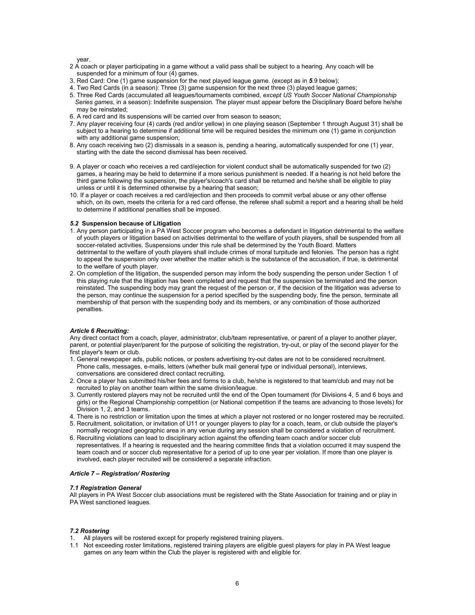year.

- 2 A coach or player participating in a game without a valid pass shall be subject to a hearing. Any coach will be suspended for a minimum of four (4) games.
- 3. Red Card: One (1) game suspension for the next played league game. (except as in *5*.9 below);
- 4. Two Red Cards (in a season): Three (3) game suspension for the next three (3) played league games;
- 5. Three Red Cards (accumulated all leagues/tournaments combined, *except US Youth Soccer National Championship Series games*, in a season): Indefinite suspension. The player must appear before the Disciplinary Board before he/she may be reinstated;
- 6. A red card and its suspensions will be carried over from season to season;
- 7. Any player receiving four (4) cards (red and/or yellow) in one playing season (September 1 through August 31) shall be subject to a hearing to determine if additional time will be required besides the minimum one (1) game in conjunction with any additional game suspension;
- 8. Any coach receiving two (2) dismissals in a season is, pending a hearing, automatically suspended for one (1) year, starting with the date the second dismissal has been received.
- 9. A player or coach who receives a red card/ejection for violent conduct shall be automatically suspended for two (2) games, a hearing may be held to determine if a more serious punishment is needed. If a hearing is not held before the third game following the suspension, the player's/coach's card shall be returned and he/she shall be eligible to play unless or until it is determined otherwise by a hearing that season;
- 10. If a player or coach receives a red card/ejection and then proceeds to commit verbal abuse or any other offense which, on its own, meets the criteria for a red card offense, the referee shall submit a report and a hearing shall be held to determine if additional penalties shall be imposed.

### *5.2* **Suspension because of Litigation**

- 1. Any person participating in a PA West Soccer program who becomes a defendant in litigation detrimental to the welfare of youth players or litigation based on activities detrimental to the welfare of youth players, shall be suspended from all soccer-related activities. Suspensions under this rule shall be determined by the Youth Board. Matters detrimental to the welfare of youth players shall include crimes of moral turpitude and felonies. The person has a right to appeal the suspension only over whether the matter which is the substance of the accusation, if true, is detrimental to the welfare of youth player.
- 2. On completion of the litigation, the suspended person may inform the body suspending the person under Section 1 of this playing rule that the litigation has been completed and request that the suspension be terminated and the person reinstated. The suspending body may grant the request of the person or, if the decision of the litigation was adverse to the person, may continue the suspension for a period specified by the suspending body, fine the person, terminate all membership of that person with the suspending body and its members, or any combination of those authorized penalties.

## *Article 6 Recruiting:*

Any direct contact from a coach, player, administrator, club/team representative, or parent of a player to another player, parent, or potential player/parent for the purpose of soliciting the registration, try-out, or play of the second player for the first player's team or club.

- 1. General newspaper ads, public notices, or posters advertising try-out dates are not to be considered recruitment. Phone calls, messages, e-mails, letters (whether bulk mail general type or individual personal), interviews, conversations are considered direct contact recruiting.
- 2. Once a player has submitted his/her fees and forms to a club, he/she is registered to that team/club and may not be recruited to play on another team within the same division/league.
- 3. Currently rostered players may not be recruited until the end of the Open tournament (for Divisions 4, 5 and 6 boys and girls) or the Regional Championship competition (or National competition if the teams are advancing to those levels) for Division 1, 2, and 3 teams.
- 4. There is no restriction or limitation upon the times at which a player not rostered or no longer rostered may be recruited.
- 5. Recruitment, solicitation, or invitation of U11 or younger players to play for a coach, team, or club outside the player's normally recognized geographic area in any venue during any session shall be considered a violation of recruitment.
- 6. Recruiting violations can lead to disciplinary action against the offending team coach and/or soccer club representatives. If a hearing is requested and the hearing committee finds that a violation occurred it may suspend the team coach and or soccer club representative for a period of up to one year per violation. If more than one player is involved, each player recruited will be considered a separate infraction.

### *Article 7 – Registration/ Rostering*

### *7.1 Registration General*

All players in PA West Soccer club associations must be registered with the State Association for training and or play in PA West sanctioned leagues.

### *7.2 Rostering*

- 1. All players will be rostered except for properly registered training players.
- 1.1 Not exceeding roster limitations, registered training players are eligible guest players for play in PA West league games on any team within the Club the player is registered with and eligible for.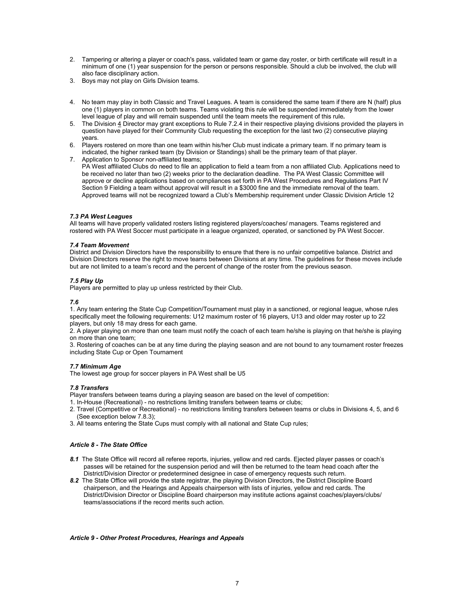- 2. Tampering or altering a player or coach's pass, validated team or game day roster, or birth certificate will result in a minimum of one (1) year suspension for the person or persons responsible. Should a club be involved, the club will also face disciplinary action.
- 3. Boys may not play on Girls Division teams.
- 4. No team may play in both Classic and Travel Leagues. A team is considered the same team if there are N (half) plus one (1) players in common on both teams. Teams violating this rule will be suspended immediately from the lower level league of play and will remain suspended until the team meets the requirement of this rule*.*
- 5. The Division 4 Director may grant exceptions to Rule 7.2.4 in their respective playing divisions provided the players in question have played for their Community Club requesting the exception for the last two (2) consecutive playing years.
- 6. Players rostered on more than one team within his/her Club must indicate a primary team. If no primary team is indicated, the higher ranked team (by Division or Standings) shall be the primary team of that player.
- 7. Application to Sponsor non-affiliated teams; PA West affiliated Clubs do need to file an application to field a team from a non affiliated Club. Applications need to be received no later than two (2) weeks prior to the declaration deadline. The PA West Classic Committee will approve or decline applications based on compliances set forth in PA West Procedures and Regulations Part IV Section 9 Fielding a team without approval will result in a \$3000 fine and the immediate removal of the team. Approved teams will not be recognized toward a Club's Membership requirement under Classic Division Article 12

## *7.3 PA West Leagues*

All teams will have properly validated rosters listing registered players/coaches/ managers. Teams registered and rostered with PA West Soccer must participate in a league organized, operated, or sanctioned by PA West Soccer.

## *7.4 Team Movement*

District and Division Directors have the responsibility to ensure that there is no unfair competitive balance. District and Division Directors reserve the right to move teams between Divisions at any time. The guidelines for these moves include but are not limited to a team's record and the percent of change of the roster from the previous season.

## *7.5 Play Up*

Players are permitted to play up unless restricted by their Club.

## *7.6*

1. Any team entering the State Cup Competition/Tournament must play in a sanctioned, or regional league, whose rules specifically meet the following requirements: U12 maximum roster of 16 players, U13 and older may roster up to 22 players, but only 18 may dress for each game.

2. A player playing on more than one team must notify the coach of each team he/she is playing on that he/she is playing on more than one team;

3. Rostering of coaches can be at any time during the playing season and are not bound to any tournament roster freezes including State Cup or Open Tournament

## *7.7 Minimum Age*

The lowest age group for soccer players in PA West shall be U5

## *7.8 Transfers*

Player transfers between teams during a playing season are based on the level of competition:

- 1. In-House (Recreational) no restrictions limiting transfers between teams or clubs;
- 2. Travel (Competitive or Recreational) no restrictions limiting transfers between teams or clubs in Divisions 4, 5, and 6 (See exception below 7.8.3);
- 3. All teams entering the State Cups must comply with all national and State Cup rules;

## *Article 8 - The State Office*

- *8.1* The State Office will record all referee reports, injuries, yellow and red cards. Ejected player passes or coach's passes will be retained for the suspension period and will then be returned to the team head coach after the District/Division Director or predetermined designee in case of emergency requests such return.
- *8.2* The State Office will provide the state registrar, the playing Division Directors, the District Discipline Board chairperson, and the Hearings and Appeals chairperson with lists of injuries, yellow and red cards. The District/Division Director or Discipline Board chairperson may institute actions against coaches/players/clubs/ teams/associations if the record merits such action.

## *Article 9 - Other Protest Procedures, Hearings and Appeals*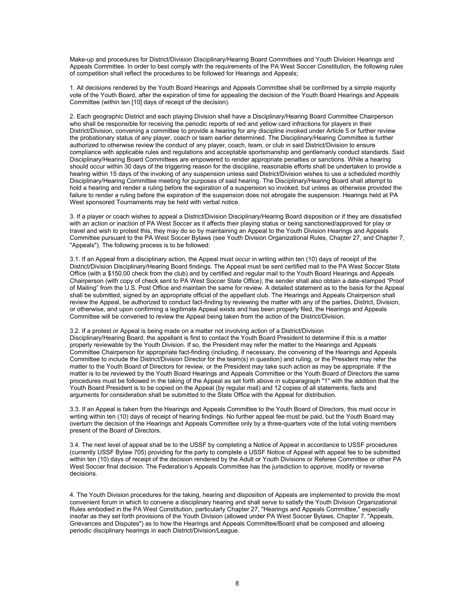Make-up and procedures for District/Division Disciplinary/Hearing Board Committees and Youth Division Hearings and Appeals Committee. In order to best comply with the requirements of the PA West Soccer Constitution, the following rules of competition shall reflect the procedures to be followed for Hearings and Appeals;

1. All decisions rendered by the Youth Board Hearings and Appeals Committee shall be confirmed by a simple majority vote of the Youth Board, after the expiration of time for appealing the decision of the Youth Board Hearings and Appeals Committee (within ten [10] days of receipt of the decision).

2. Each geographic District and each playing Division shall have a Disciplinary/Hearing Board Committee Chairperson who shall be responsible for receiving the periodic reports of red and yellow card infractions for players in their District/Division, convening a committee to provide a hearing for any discipline invoked under Article 5 or further review the probationary status of any player, coach or team earlier determined. The Disciplinary/Hearing Committee is further authorized to otherwise review the conduct of any player, coach, team, or club in said District/Division to ensure compliance with applicable rules and regulations and acceptable sportsmanship and gentlemanly conduct standards. Said Disciplinary/Hearing Board Committees are empowered to render appropriate penalties or sanctions. While a hearing should occur within 30 days of the triggering reason for the discipline, reasonable efforts shall be undertaken to provide a hearing within 15 days of the invoking of any suspension unless said District/Division wishes to use a scheduled monthly Disciplinary/Hearing Committee meeting for purposes of said hearing. The Disciplinary/Hearing Board shall attempt to hold a hearing and render a ruling before the expiration of a suspension so invoked, but unless as otherwise provided the failure to render a ruling before the expiration of the suspension does not abrogate the suspension. Hearings held at PA West sponsored Tournaments may be held with verbal notice.

3. If a player or coach wishes to appeal a District/Division Disciplinary/Hearing Board disposition or if they are dissatisfied with an action or inaction of PA West Soccer as it affects their playing status or being sanctioned/approved for play or travel and wish to protest this, they may do so by maintaining an Appeal to the Youth Division Hearings and Appeals Committee pursuant to the PA West Soccer Bylaws (see Youth Division Organizational Rules, Chapter 27, and Chapter 7, "Appeals"). The following process is to be followed:

3.1. If an Appeal from a disciplinary action, the Appeal must occur in writing within ten (10) days of receipt of the District/Division Disciplinary/Hearing Board findings. The Appeal must be sent certified mail to the PA West Soccer State Office (with a \$150.00 check from the club) and by certified and regular mail to the Youth Board Hearings and Appeals Chairperson (with copy of check sent to PA West Soccer State Office); the sender shall also obtain a date-stamped "Proof of Mailing" from the U.S. Post Office and maintain the same for review. A detailed statement as to the basis for the Appeal shall be submitted, signed by an appropriate official of the appellant club. The Hearings and Appeals Chairperson shall review the Appeal, be authorized to conduct fact-finding by reviewing the matter with any of the parties, District, Division, or otherwise, and upon confirming a legitimate Appeal exists and has been properly filed, the Hearings and Appeals Committee will be convened to review the Appeal being taken from the action of the District/Division.

3.2. If a protest or Appeal is being made on a matter not involving action of a District/Division Disciplinary/Hearing Board, the appellant is first to contact the Youth Board President to determine if this is a matter properly reviewable by the Youth Division. If so, the President may refer the matter to the Hearings and Appeals Committee Chairperson for appropriate fact-finding (including, if necessary, the convening of the Hearings and Appeals Committee to include the District/Division Director for the team(s) in question) and ruling, or the President may refer the matter to the Youth Board of Directors for review, or the President may take such action as may be appropriate. If the matter is to be reviewed by the Youth Board Hearings and Appeals Committee or the Youth Board of Directors the same procedures must be followed in the taking of the Appeal as set forth above in subparagraph "1" with the addition that the Youth Board President is to be copied on the Appeal (by regular mail) and 12 copies of all statements, facts and arguments for consideration shall be submitted to the State Office with the Appeal for distribution.

3.3. If an Appeal is taken from the Hearings and Appeals Committee to the Youth Board of Directors, this must occur in writing within ten (10) days of receipt of hearing findings. No further appeal fee must be paid, but the Youth Board may overturn the decision of the Hearings and Appeals Committee only by a three-quarters vote of the total voting members present of the Board of Directors.

3.4. The next level of appeal shall be to the USSF by completing a Notice of Appeal in accordance to USSF procedures (currently USSF Bylaw 705) providing for the party to complete a USSF Notice of Appeal with appeal fee to be submitted within ten (10) days of receipt of the decision rendered by the Adult or Youth Divisions or Referee Committee or other PA West Soccer final decision. The Federation's Appeals Committee has the jurisdiction to approve, modify or reverse decisions.

4. The Youth Division procedures for the taking, hearing and disposition of Appeals are implemented to provide the most convenient forum in which to convene a disciplinary hearing and shall serve to satisfy the Youth Division Organizational Rules embodied in the PA West Constitution, particularly Chapter 27, "Hearings and Appeals Committee," especially insofar as they set forth provisions of the Youth Division (allowed under PA West Soccer Bylaws, Chapter 7, "Appeals, Grievances and Disputes") as to how the Hearings and Appeals Committee/Board shall be composed and allowing periodic disciplinary hearings in each District/Division/League.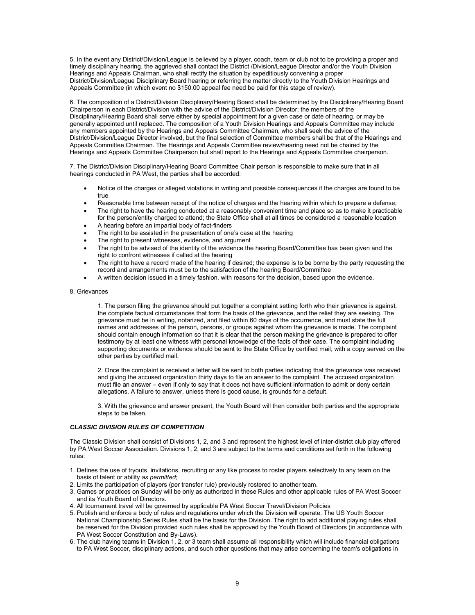5. In the event any District/Division/League is believed by a player, coach, team or club not to be providing a proper and timely disciplinary hearing, the aggrieved shall contact the District /Division/League Director and/or the Youth Division Hearings and Appeals Chairman, who shall rectify the situation by expeditiously convening a proper District/Division/League Disciplinary Board hearing or referring the matter directly to the Youth Division Hearings and Appeals Committee (in which event no \$150.00 appeal fee need be paid for this stage of review).

6. The composition of a District/Division Disciplinary/Hearing Board shall be determined by the Disciplinary/Hearing Board Chairperson in each District/Division with the advice of the District/Division Director; the members of the Disciplinary/Hearing Board shall serve either by special appointment for a given case or date of hearing, or may be generally appointed until replaced. The composition of a Youth Division Hearings and Appeals Committee may include any members appointed by the Hearings and Appeals Committee Chairman, who shall seek the advice of the District/Division/League Director involved, but the final selection of Committee members shall be that of the Hearings and Appeals Committee Chairman. The Hearings and Appeals Committee review/hearing need not be chaired by the Hearings and Appeals Committee Chairperson but shall report to the Hearings and Appeals Committee chairperson.

7. The District/Division Disciplinary/Hearing Board Committee Chair person is responsible to make sure that in all hearings conducted in PA West, the parties shall be accorded:

- Notice of the charges or alleged violations in writing and possible consequences if the charges are found to be true
- Reasonable time between receipt of the notice of charges and the hearing within which to prepare a defense;
- The right to have the hearing conducted at a reasonably convenient time and place so as to make it practicable for the person/entity charged to attend; the State Office shall at all times be considered a reasonable location
- A hearing before an impartial body of fact-finders
- The right to be assisted in the presentation of one's case at the hearing
- The right to present witnesses, evidence, and argument
- The right to be advised of the identity of the evidence the hearing Board/Committee has been given and the right to confront witnesses if called at the hearing
- The right to have a record made of the hearing if desired; the expense is to be borne by the party requesting the record and arrangements must be to the satisfaction of the hearing Board/Committee
- A written decision issued in a timely fashion, with reasons for the decision, based upon the evidence.

8. Grievances

1. The person filing the grievance should put together a complaint setting forth who their grievance is against, the complete factual circumstances that form the basis of the grievance, and the relief they are seeking. The grievance must be in writing, notarized, and filed within 60 days of the occurrence, and must state the full names and addresses of the person, persons, or groups against whom the grievance is made. The complaint should contain enough information so that it is clear that the person making the grievance is prepared to offer testimony by at least one witness with personal knowledge of the facts of their case. The complaint including supporting documents or evidence should be sent to the State Office by certified mail, with a copy served on the other parties by certified mail.

2. Once the complaint is received a letter will be sent to both parties indicating that the grievance was received and giving the accused organization thirty days to file an answer to the complaint. The accused organization must file an answer – even if only to say that it does not have sufficient information to admit or deny certain allegations. A failure to answer, unless there is good cause, is grounds for a default.

3. With the grievance and answer present, the Youth Board will then consider both parties and the appropriate steps to be taken.

## *CLASSIC DIVISION RULES OF COMPETITION*

The Classic Division shall consist of Divisions 1, 2, and 3 and represent the highest level of inter-district club play offered by PA West Soccer Association. Divisions 1, 2, and 3 are subject to the terms and conditions set forth in the following rules:

- 1. Defines the use of tryouts, invitations, recruiting or any like process to roster players selectively to any team on the basis of talent or ability *as permitted*;
- 2. Limits the participation of players (per transfer rule) previously rostered to another team.
- 3. Games or practices on Sunday will be only as authorized in these Rules and other applicable rules of PA West Soccer and its Youth Board of Directors.
- 4. All tournament travel will be governed by applicable PA West Soccer Travel/Division Policies
- 5. Publish and enforce a body of rules and regulations under which the Division will operate. The US Youth Soccer National Championship Series Rules shall be the basis for the Division. The right to add additional playing rules shall be reserved for the Division provided such rules shall be approved by the Youth Board of Directors (in accordance with PA West Soccer Constitution and By-Laws).
- 6. The club having teams in Division 1, 2, or 3 team shall assume all responsibility which will include financial obligations to PA West Soccer, disciplinary actions, and such other questions that may arise concerning the team's obligations in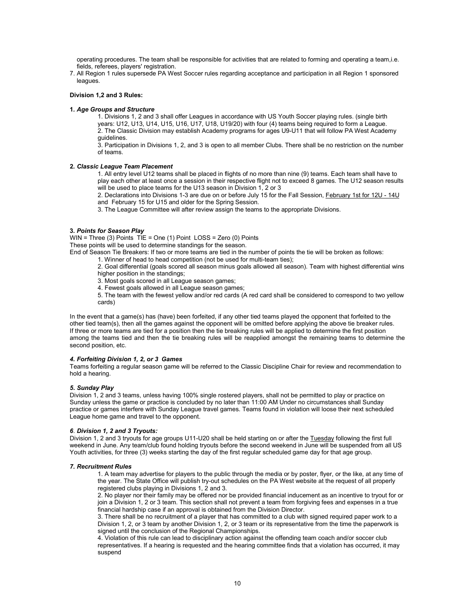operating procedures. The team shall be responsible for activities that are related to forming and operating a team,i.e. fields, referees, players' registration.

7. All Region 1 rules supersede PA West Soccer rules regarding acceptance and participation in all Region 1 sponsored leagues.

## **Division 1,2 and 3 Rules:**

### **1***. Age Groups and Structure*

1. Divisions 1, 2 and 3 shall offer Leagues in accordance with US Youth Soccer playing rules. (single birth years: U12, U13, U14, U15, U16, U17, U18, U19/20) with four (4) teams being required to form a League. 2. The Classic Division may establish Academy programs for ages U9-U11 that will follow PA West Academy guidelines.

3. Participation in Divisions 1, 2, and 3 is open to all member Clubs. There shall be no restriction on the number of teams.

## **2***. Classic League Team Placement*

1. All entry level U12 teams shall be placed in flights of no more than nine (9) teams. Each team shall have to play each other at least once a session in their respective flight not to exceed 8 games. The U12 season results will be used to place teams for the U13 season in Division 1, 2 or 3

2. Declarations into Divisions 1-3 are due on or before July 15 for the Fall Session, February 1st for 12U - 14U and February 15 for U15 and older for the Spring Session.

3. The League Committee will after review assign the teams to the appropriate Divisions.

## **3***. Points for Season Play*

WIN = Three (3) Points TIE = One (1) Point LOSS = Zero (0) Points

These points will be used to determine standings for the season.

End of Season Tie Breakers: If two or more teams are tied in the number of points the tie will be broken as follows:

- 1. Winner of head to head competition (not be used for multi-team ties);
- 2. Goal differential (goals scored all season minus goals allowed all season). Team with highest differential wins higher position in the standings;
- 3. Most goals scored in all League season games;
- 4. Fewest goals allowed in all League season games;

5. The team with the fewest yellow and/or red cards (A red card shall be considered to correspond to two yellow cards)

In the event that a game(s) has (have) been forfeited, if any other tied teams played the opponent that forfeited to the other tied team(s), then all the games against the opponent will be omitted before applying the above tie breaker rules. If three or more teams are tied for a position then the tie breaking rules will be applied to determine the first position among the teams tied and then the tie breaking rules will be reapplied amongst the remaining teams to determine the second position, etc.

## *4. Forfeiting Division 1, 2, or 3 Games*

Teams forfeiting a regular season game will be referred to the Classic Discipline Chair for review and recommendation to hold a hearing.

## *5***.** *Sunday Play*

Division 1, 2 and 3 teams, unless having 100% single rostered players, shall not be permitted to play or practice on Sunday unless the game or practice is concluded by no later than 11:00 AM Under no circumstances shall Sunday practice or games interfere with Sunday League travel games. Teams found in violation will loose their next scheduled League home game and travel to the opponent.

## *6*. *Division 1, 2 and 3 Tryouts:*

Division 1, 2 and 3 tryouts for age groups U11-U20 shall be held starting on or after the Tuesday following the first full weekend in June. Any team/club found holding tryouts before the second weekend in June will be suspended from all US Youth activities, for three (3) weeks starting the day of the first regular scheduled game day for that age group.

### *7. Recruitment Rules*

1. A team may advertise for players to the public through the media or by poster, flyer, or the like, at any time of the year. The State Office will publish try-out schedules on the PA West website at the request of all properly registered clubs playing in Divisions 1, 2 and 3.

2. No player nor their family may be offered nor be provided financial inducement as an incentive to tryout for or join a Division 1, 2 or 3 team. This section shall not prevent a team from forgiving fees and expenses in a true financial hardship case if an approval is obtained from the Division Director.

3. There shall be no recruitment of a player that has committed to a club with signed required paper work to a Division 1, 2, or 3 team by another Division 1, 2, or 3 team or its representative from the time the paperwork is signed until the conclusion of the Regional Championships.

4. Violation of this rule can lead to disciplinary action against the offending team coach and/or soccer club representatives. If a hearing is requested and the hearing committee finds that a violation has occurred, it may suspend